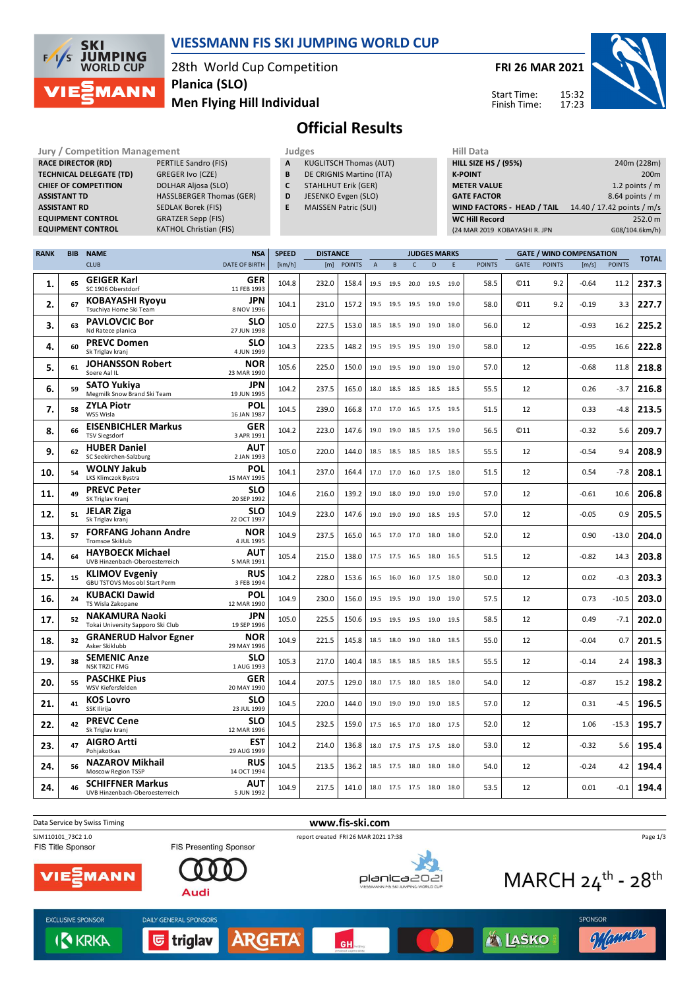

#### **VIESSMANN FIS SKI JUMPING WORLD CUP**

28th World Cup Competition **Men Flying Hill Individual Planica (SLO)**

**FRI 26 MAR 2021**

Start Time: Finish Time:



**Official Results**

|             |                     | <b>Jury / Competition Management</b>             |                                 | Judges                     |                               |               |              |      |                | <b>Hill Data</b>    |                    |                               |             |               |                                 |                  |                   |
|-------------|---------------------|--------------------------------------------------|---------------------------------|----------------------------|-------------------------------|---------------|--------------|------|----------------|---------------------|--------------------|-------------------------------|-------------|---------------|---------------------------------|------------------|-------------------|
|             |                     | <b>RACE DIRECTOR (RD)</b>                        | <b>PERTILE Sandro (FIS)</b>     | A                          | <b>KUGLITSCH Thomas (AUT)</b> |               |              |      |                |                     |                    | <b>HILL SIZE HS / (95%)</b>   |             |               |                                 |                  | 240m (228m)       |
|             |                     | <b>TECHNICAL DELEGATE (TD)</b>                   | B                               | DE CRIGNIS Martino (ITA)   |                               |               |              |      |                |                     | <b>K-POINT</b>     |                               |             |               |                                 | 200 <sub>m</sub> |                   |
|             |                     | <b>CHIEF OF COMPETITION</b>                      | C                               | <b>STAHLHUT Erik (GER)</b> |                               |               |              |      |                |                     | <b>METER VALUE</b> |                               |             |               |                                 | 1.2 points $/m$  |                   |
|             | <b>ASSISTANT TD</b> |                                                  | <b>HASSLBERGER Thomas (GER)</b> | D                          | JESENKO Evgen (SLO)           |               |              |      |                |                     |                    | <b>GATE FACTOR</b>            |             |               |                                 |                  | $8.64$ points / m |
|             | <b>ASSISTANT RD</b> |                                                  | <b>SEDLAK Borek (FIS)</b>       | E                          | <b>MAISSEN Patric (SUI)</b>   |               |              |      |                |                     |                    | WIND FACTORS - HEAD / TAIL    |             |               | 14.40 / 17.42 points / m/s      |                  |                   |
|             |                     | <b>EQUIPMENT CONTROL</b>                         | <b>GRATZER Sepp (FIS)</b>       |                            |                               |               |              |      |                |                     |                    | <b>WC Hill Record</b>         |             |               |                                 |                  | 252.0 m           |
|             |                     | <b>EQUIPMENT CONTROL</b>                         | <b>KATHOL Christian (FIS)</b>   |                            |                               |               |              |      |                |                     |                    | (24 MAR 2019 KOBAYASHI R. JPN |             |               |                                 |                  | G08/104.6km/h)    |
|             |                     |                                                  |                                 |                            |                               |               |              |      |                |                     |                    |                               |             |               |                                 |                  |                   |
| <b>RANK</b> | <b>BIB</b>          | <b>NAME</b>                                      | <b>NSA</b>                      | <b>SPEED</b>               | <b>DISTANCE</b>               |               |              |      |                | <b>JUDGES MARKS</b> |                    |                               |             |               |                                 |                  |                   |
|             |                     |                                                  |                                 |                            |                               | <b>POINTS</b> |              |      |                |                     | F                  |                               | <b>GATE</b> | <b>POINTS</b> | <b>GATE / WIND COMPENSATION</b> |                  | <b>TOTAL</b>      |
|             |                     | <b>CLUB</b>                                      | <b>DATE OF BIRTH</b>            | [km/h]                     | [m]                           |               | $\mathsf{A}$ | B    | C              | D                   |                    | <b>POINTS</b>                 |             |               | [m/s]                           | <b>POINTS</b>    |                   |
| 1.          | 65                  | <b>GEIGER Karl</b><br>SC 1906 Oberstdorf         | <b>GER</b><br>11 FEB 1993       | 104.8                      | 232.0                         | 158.4         | 19.5         | 19.5 | 20.0 19.5      |                     | 19.0               | 58.5                          | <b>C11</b>  | 9.2           | $-0.64$                         | 11.2             | 237.3             |
| 2.          | 67                  | <b>KOBAYASHI Ryoyu</b><br>Tsuchiya Home Ski Team | <b>JPN</b><br>8 NOV 1996        | 104.1                      | 231.0                         | 157.2         | 19.5         | 19.5 | 19.5           | 19.0                | 19.0               | 58.0                          | <b>©11</b>  | 9.2           | $-0.19$                         | 3.3              | 227.7             |
| 3.          | 63                  | <b>PAVLOVCIC Bor</b><br>Nd Ratece planica        | <b>SLO</b><br>27 JUN 1998       | 105.0                      | 227.5                         | 153.0         | 18.5         |      | 18.5 19.0 19.0 |                     | 18.0               | 56.0                          | 12          |               | $-0.93$                         | 16.2             | 225.2             |
| 4.          | 60                  | <b>PREVC Domen</b><br>Sk Triglav kranj           | <b>SLO</b><br>4 JUN 1999        | 104.3                      | 223.5                         | 148.2         |              |      |                | 19.5 19.5 19.5 19.0 | 19.0               | 58.0                          | 12          |               | $-0.95$                         | 16.6             | 222.8             |
| 5.          | 61                  | <b>JOHANSSON Robert</b><br>Soere Aal IL          | <b>NOR</b><br>23 MAR 1990       | 105.6                      | 225.0                         | 150.0         | 19.0         | 19.5 |                | 19.0 19.0           | 19.0               | 57.0                          | 12          |               | $-0.68$                         | 11.8             | 218.8             |
| 6.          | 59                  | <b>SATO Yukiya</b>                               | <b>JPN</b>                      | 104.2                      | 237.5                         | 165.0 18.0    |              |      | 18.5 18.5      | 18.5                | 18.5               | 55.5                          | 12          |               | 0.26                            |                  | $-3.7$   216.8    |

| z.  |    | Tsuchiya Home Ski Team                                        | 8 NOV 1996                | 104.I | 231.U | 157.Z | כיגד כיגד כיגד |                          | ה־17 ח־17 | 58.U | ⊌⊥⊥        | Y.Z | -v.19   | 5.5     | 221.1 |
|-----|----|---------------------------------------------------------------|---------------------------|-------|-------|-------|----------------|--------------------------|-----------|------|------------|-----|---------|---------|-------|
| з.  | 63 | <b>PAVLOVCIC Bor</b><br>Nd Ratece planica                     | <b>SLO</b><br>27 JUN 1998 | 105.0 | 227.5 | 153.0 |                | 18.5 18.5 19.0 19.0 18.0 |           | 56.0 | 12         |     | $-0.93$ | 16.2    | 225.2 |
| 4.  | 60 | <b>PREVC Domen</b><br>Sk Triglav kranj                        | <b>SLO</b><br>4 JUN 1999  | 104.3 | 223.5 | 148.2 |                | 19.5 19.5 19.5 19.0 19.0 |           | 58.0 | 12         |     | $-0.95$ | 16.6    | 222.8 |
| 5.  | 61 | <b>JOHANSSON Robert</b><br>Soere Aal IL                       | <b>NOR</b><br>23 MAR 1990 | 105.6 | 225.0 | 150.0 |                | 19.0 19.5 19.0 19.0 19.0 |           | 57.0 | 12         |     | $-0.68$ | 11.8    | 218.8 |
| 6.  | 59 | <b>SATO Yukiva</b><br>Megmilk Snow Brand Ski Team             | <b>JPN</b><br>19 JUN 1995 | 104.2 | 237.5 | 165.0 |                | 18.0 18.5 18.5 18.5 18.5 |           | 55.5 | 12         |     | 0.26    | $-3.7$  | 216.8 |
| 7.  | 58 | <b>ZYLA Piotr</b><br>WSS Wisla                                | <b>POL</b><br>16 JAN 1987 | 104.5 | 239.0 | 166.8 |                | 17.0 17.0 16.5 17.5 19.5 |           | 51.5 | 12         |     | 0.33    | $-4.8$  | 213.5 |
| 8.  | 66 | <b>EISENBICHLER Markus</b><br><b>TSV Siegsdorf</b>            | GER<br>3 APR 1991         | 104.2 | 223.0 | 147.6 |                | 19.0 19.0 18.5 17.5 19.0 |           | 56.5 | <b>©11</b> |     | $-0.32$ | 5.6     | 209.7 |
| 9.  | 62 | <b>HUBER Daniel</b><br>SC Seekirchen-Salzburg                 | AUT<br>2 JAN 1993         | 105.0 | 220.0 | 144.0 | 18.5 18.5      | 18.5 18.5 18.5           |           | 55.5 | 12         |     | $-0.54$ | 9.4     | 208.9 |
| 10. | 54 | <b>WOLNY Jakub</b><br>LKS Klimczok Bystra                     | POL<br>15 MAY 1995        | 104.1 | 237.0 | 164.4 |                | 17.0 17.0 16.0 17.5 18.0 |           | 51.5 | 12         |     | 0.54    | $-7.8$  | 208.1 |
| 11. | 49 | <b>PREVC Peter</b><br>SK Triglav Kranj                        | <b>SLO</b><br>20 SEP 1992 | 104.6 | 216.0 | 139.2 |                | 19.0 18.0 19.0 19.0 19.0 |           | 57.0 | 12         |     | $-0.61$ | 10.6    | 206.8 |
| 12. | 51 | <b>JELAR Ziga</b><br>Sk Triglav kranj                         | <b>SLO</b><br>22 OCT 1997 | 104.9 | 223.0 | 147.6 |                | 19.0 19.0 19.0 18.5 19.5 |           | 57.0 | 12         |     | $-0.05$ | 0.9     | 205.5 |
| 13. | 57 | <b>FORFANG Johann Andre</b><br>Tromsoe Skiklub                | <b>NOR</b><br>4 JUL 1995  | 104.9 | 237.5 | 165.0 |                | 16.5 17.0 17.0 18.0 18.0 |           | 52.0 | 12         |     | 0.90    | $-13.0$ | 204.0 |
| 14. | 64 | <b>HAYBOECK Michael</b><br>UVB Hinzenbach-Oberoesterreich     | <b>AUT</b><br>5 MAR 1991  | 105.4 | 215.0 | 138.0 |                | 17.5 17.5 16.5 18.0 16.5 |           | 51.5 | 12         |     | $-0.82$ | 14.3    | 203.8 |
| 15. | 15 | <b>KLIMOV Evgeniy</b><br><b>GBU TSTOVS Mos obl Start Perm</b> | <b>RUS</b><br>3 FEB 1994  | 104.2 | 228.0 | 153.6 |                | 16.5 16.0 16.0 17.5 18.0 |           | 50.0 | 12         |     | 0.02    | $-0.3$  | 203.3 |
| 16. | 24 | <b>KUBACKI Dawid</b><br>TS Wisla Zakopane                     | POL<br>12 MAR 1990        | 104.9 | 230.0 | 156.0 | 19.5 19.5      | 19.0                     | 19.0 19.0 | 57.5 | 12         |     | 0.73    | $-10.5$ | 203.0 |
| 17. | 52 | <b>NAKAMURA Naoki</b><br>Tokai University Sapporo Ski Club    | JPN<br>19 SEP 1996        | 105.0 | 225.5 | 150.6 |                | 19.5 19.5 19.5 19.0 19.5 |           | 58.5 | 12         |     | 0.49    | $-7.1$  | 202.0 |
| 18. | 32 | <b>GRANERUD Halvor Egner</b><br>Asker Skiklubb                | <b>NOR</b><br>29 MAY 1996 | 104.9 | 221.5 | 145.8 | 18.5 18.0      | 19.0 18.0 18.5           |           | 55.0 | 12         |     | $-0.04$ | 0.7     | 201.5 |
| 19. | 38 | <b>SEMENIC Anze</b><br><b>NSK TRZIC FMG</b>                   | <b>SLO</b><br>1 AUG 1993  | 105.3 | 217.0 | 140.4 |                | 18.5 18.5 18.5 18.5 18.5 |           | 55.5 | 12         |     | $-0.14$ | 2.4     | 198.3 |
| 20. | 55 | <b>PASCHKE Pius</b><br>WSV Kiefersfelden                      | <b>GER</b><br>20 MAY 1990 | 104.4 | 207.5 | 129.0 |                | 18.0 17.5 18.0 18.5 18.0 |           | 54.0 | 12         |     | $-0.87$ | 15.2    | 198.2 |
| 21. | 41 | <b>KOS Lovro</b><br>SSK Ilirija                               | <b>SLO</b><br>23 JUL 1999 | 104.5 | 220.0 | 144.0 |                | 19.0 19.0 19.0 19.0 18.5 |           | 57.0 | 12         |     | 0.31    | $-4.5$  | 196.5 |
| 22. | 42 | <b>PREVC Cene</b><br>Sk Triglav kranj                         | <b>SLO</b><br>12 MAR 1996 | 104.5 | 232.5 | 159.0 |                | 17.5 16.5 17.0 18.0 17.5 |           | 52.0 | 12         |     | 1.06    | $-15.3$ | 195.7 |
| 23. | 47 | <b>AIGRO Artti</b><br>Pohiakotkas                             | <b>EST</b><br>29 AUG 1999 | 104.2 | 214.0 | 136.8 | 18.0 17.5      | 17.5 17.5 18.0           |           | 53.0 | 12         |     | $-0.32$ | 5.6     | 195.4 |
| 24. | 56 | <b>NAZAROV Mikhail</b><br>Moscow Region TSSP                  | <b>RUS</b><br>14 OCT 1994 | 104.5 | 213.5 | 136.2 |                | 18.5 17.5 18.0 18.0 18.0 |           | 54.0 | 12         |     | $-0.24$ | 4.2     | 194.4 |
| 24. | 46 | <b>SCHIFFNER Markus</b><br>UVB Hinzenbach-Oberoesterreich     | <b>AUT</b><br>5 JUN 1992  | 104.9 | 217.5 | 141.0 |                | 18.0 17.5 17.5 18.0 18.0 |           | 53.5 | 12         |     | 0.01    | $-0.1$  | 194.4 |
|     |    |                                                               |                           |       |       |       |                |                          |           |      |            |     |         |         |       |

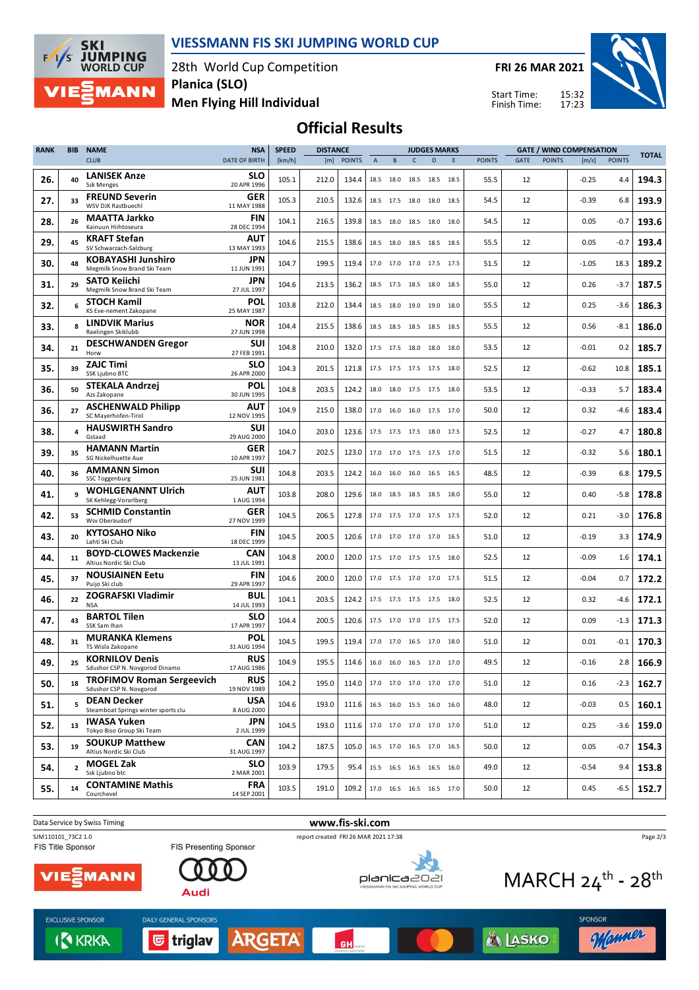



28th World Cup Competition **Planica (SLO)**

**FRI 26 MAR 2021**

Start Time: Finish Time:



**Men Flying Hill Individual**

## **Official Results**

| <b>CLUB</b><br><b>DATE OF BIRTH</b><br>[km/h]<br><b>POINTS</b><br><b>POINTS</b><br><b>POINTS</b><br>[m/s]<br><b>POINTS</b><br>[m]<br>B<br>$\mathsf{C}$<br>D<br>E<br>GATE<br>$\overline{A}$<br><b>LANISEK Anze</b><br><b>SLO</b><br>26.<br>40<br>105.1<br>212.0<br>134.4<br>18.5 18.0<br>18.5<br>18.5<br>18.5<br>12<br>$-0.25$<br>55.5<br>4.4<br>20 APR 1996<br><b>Ssk Menges</b><br><b>FREUND Severin</b><br>GER<br>27.<br>105.3<br>210.5<br>132.6<br>18.5 17.5<br>18.0<br>18.0 18.5<br>54.5<br>12<br>-0.39<br>6.8<br>33<br>WSV DJK Rastbuechl<br>11 MAY 1988<br><b>MAATTA Jarkko</b><br>FIN<br>28.<br>26<br>104.1<br>216.5<br>139.8<br>18.5 18.0<br>18.0<br>18.0<br>54.5<br>12<br>0.05<br>-0.7<br>18.5<br>Kainuun Hiihtoseura<br>28 DEC 1994<br><b>KRAFT Stefan</b><br>AUT<br>29.<br>45<br>104.6<br>215.5<br>12<br>0.05<br>138.6<br>55.5<br>-0.7<br>18.5 18.0<br>18.5<br>18.5 18.5<br>SV Schwarzach-Salzburg<br>13 MAY 1993<br><b>KOBAYASHI Junshiro</b><br><b>JPN</b><br>48<br>199.5<br>30.<br>104.7<br>12<br>119.4<br>51.5<br>$-1.05$<br>18.3<br>17.0 17.0 17.0 17.5 17.5<br>Megmilk Snow Brand Ski Team<br>11 JUN 1991<br><b>SATO Keiichi</b><br><b>JPN</b><br>31.<br>29<br>104.6<br>213.5<br>12<br>0.26<br>136.2<br>55.0<br>-3.7<br>18.5 17.5 18.5 18.0 18.5<br>Megmilk Snow Brand Ski Team<br>27 JUL 1997<br>POL<br><b>STOCH Kamil</b><br>103.8<br>212.0<br>134.4<br>12<br>0.25<br>32.<br>6<br>18.5 18.0 19.0<br>19.0 18.0<br>55.5<br>-3.6<br>KS Eve-nement Zakopane<br>25 MAY 1987<br><b>LINDVIK Marius</b><br><b>NOR</b><br>33.<br>8<br>104.4<br>215.5<br>12<br>0.56<br>138.6<br>18.5 18.5 18.5 18.5 18.5<br>55.5<br>-8.1<br>Raelingen Skiklubb<br>27 JUN 1998<br><b>DESCHWANDEN Gregor</b><br>SUI<br>104.8<br>210.0<br>53.5<br>12<br>$-0.01$<br>34.<br>21<br>132.0<br>0.2<br>17.5 17.5 18.0 18.0 18.0<br>27 FEB 1991<br>Horw<br><b>ZAJC Timi</b><br><b>SLO</b><br>35.<br>39<br>104.3<br>201.5<br>52.5<br>12<br>$-0.62$<br>121.8<br>17.5 17.5 17.5 17.5 18.0<br>10.8<br><b>SSK Ljubno BTC</b><br>26 APR 2000<br><b>STEKALA Andrzei</b><br>POL<br>36.<br>50<br>104.8<br>203.5<br>124.2<br>53.5<br>12<br>$-0.33$<br>5.7<br>18.0 18.0 17.5 17.5 18.0<br>Azs Zakopane<br>30 JUN 1995<br><b>ASCHENWALD Philipp</b><br><b>AUT</b><br>104.9<br>215.0<br>36.<br>27<br>138.0<br>50.0<br>12<br>0.32<br>-4.6<br>17.0 16.0 16.0 17.5 17.0<br>SC Mayerhofen-Tirol<br>12 NOV 1995<br><b>HAUSWIRTH Sandro</b><br>SUI<br>38.<br>4<br>104.0<br>203.0<br>4.7<br>123.6<br>17.5 17.5 17.5 18.0 17.5<br>52.5<br>12<br>$-0.27$<br>29 AUG 2000<br>Gstaad<br><b>HAMANN Martin</b><br>GER<br>104.7<br>39.<br>35<br>202.5<br>123.0<br>17.0 17.0 17.5 17.5 17.0<br>51.5<br>12<br>$-0.32$<br>5.6<br>SG Nickelhuette Aue<br>10 APR 1997<br><b>AMMANN Simon</b><br>SUI<br>36<br>104.8<br>40.<br>203.5<br>48.5<br>124.2<br>16.0 16.0 16.0 16.5 16.5<br>12<br>$-0.39$<br>6.8<br>SSC Toggenburg<br>25 JUN 1981<br><b>WOHLGENANNT Ulrich</b><br><b>AUT</b><br>q<br>103.8<br>41.<br>208.0<br>$-5.8$<br>129.6<br>55.0<br>12<br>0.40<br>18.0 18.5 18.5 18.5 18.0<br>SK Kehlegg-Vorarlberg<br>1 AUG 1994<br><b>SCHMID Constantin</b><br>GER<br>104.5<br>42.<br>53<br>206.5<br>127.8<br>52.0<br>12<br>0.21<br>-3.0<br>17.0 17.5 17.0 17.5 17.5<br>Wsv Oberaudorf<br>27 NOV 1999<br><b>KYTOSAHO Niko</b><br><b>FIN</b><br>43.<br>20<br>104.5<br>200.5<br>12<br>$-0.19$<br>120.6<br>51.0<br>3.3<br>17.0 17.0 17.0 17.0 16.5<br>Lahti Ski Club<br>18 DEC 1999<br><b>BOYD-CLOWES Mackenzie</b><br><b>CAN</b><br>44.<br>11<br>104.8<br>200.0<br>120.0<br>12<br>$-0.09$<br>1.6<br>17.5 17.0 17.5 17.5 18.0<br>52.5<br>Altius Nordic Ski Club<br>13 JUL 1991<br><b>NOUSIAINEN Eetu</b><br>FIN<br>45.<br>37<br>104.6<br>200.0<br>120.0<br>$-0.04$<br>0.7<br>17.0 17.5 17.0 17.0 17.5<br>51.5<br>12<br>Puijo Ski club<br>29 APR 1997<br><b>ZOGRAFSKI Vladimir</b><br>BUL<br>46.<br>104.1<br>203.5<br>22<br>124.2<br>52.5<br>12<br>0.32<br>-4.6<br>17.5 17.5 17.5 17.5 18.0<br>14 JUL 1993<br><b>NSA</b><br><b>BARTOL Tilen</b><br><b>SLO</b><br>47.<br>43<br>104.4<br>200.5<br>120.6<br>17.5 17.0 17.0 17.5 17.5<br>52.0<br>12<br>0.09<br>-1.3<br>SSK Sam Ihan<br>17 APR 1997<br><b>MURANKA Klemens</b><br>POL<br>48.<br>31<br>104.5<br>199.5<br>0.01<br>$-0.1$<br>119.4<br>17.0 17.0 16.5 17.0 18.0<br>51.0<br>12<br>31 AUG 1994<br>TS Wisla Zakopane<br><b>RUS</b><br><b>KORNILOV Denis</b><br>49.<br>104.9<br>195.5<br>114.6<br>16.0 16.0 16.5 17.0 17.0<br>49.5<br>12<br>-0.16<br>2.8<br>25<br>17 AUG 1986<br>Sdushor CSP N. Novgorod Dinamo<br><b>RUS</b><br><b>TROFIMOV Roman Sergeevich</b><br>50.<br>104.2<br>18<br>195.0<br>0.16<br>114.0<br>17.0 17.0 17.0 17.0 17.0<br>51.0<br>12<br>-2.3<br>19 NOV 1989<br>Sdushor CSP N. Novgorod<br><b>DEAN Decker</b><br><b>USA</b><br>104.6<br>5<br>193.0<br>12<br>$-0.03$<br>0.5<br>51.<br>111.6<br>16.5 16.0 15.5 16.0 16.0<br>48.0<br>Steamboat Springs winter sports clu<br>8 AUG 2000<br><b>IWASA Yuken</b><br>JPN<br>104.5<br>52.<br>13<br>193.0<br>12<br>111.6<br>17.0 17.0 17.0 17.0 17.0<br>51.0<br>0.25<br>-3.6<br>2 JUL 1999<br>Tokyo Biso Group Ski Team<br><b>CAN</b><br><b>SOUKUP Matthew</b><br>19<br>53.<br>104.2<br>187.5<br>50.0<br>105.0<br>16.5 17.0 16.5 17.0 16.5<br>12<br>0.05<br>-0.7<br>Altius Nordic Ski Club<br>31 AUG 1997<br><b>MOGEL Zak</b><br><b>SLO</b><br>$\overline{2}$<br>103.9<br>179.5<br>15.5 16.5 16.5 16.5 16.0<br>49.0<br>12<br>$-0.54$<br>54.<br>95.4<br>9.4<br>2 MAR 2001<br>Ssk Ljubno btc<br><b>CONTAMINE Mathis</b><br><b>FRA</b><br>103.5<br>55.<br>14<br>191.0<br>109.2 17.0 16.5 16.5 16.5 17.0<br>50.0<br>12<br>0.45<br>-6.5<br>Courchevel<br>14 SEP 2001 | <b>RANK</b> | <b>BIB</b> | <b>NAME</b> | <b>NSA</b> | <b>SPEED</b> | <b>DISTANCE</b> |  |  | <b>JUDGES MARKS</b> |  |  | <b>GATE / WIND COMPENSATION</b> |              |
|----------------------------------------------------------------------------------------------------------------------------------------------------------------------------------------------------------------------------------------------------------------------------------------------------------------------------------------------------------------------------------------------------------------------------------------------------------------------------------------------------------------------------------------------------------------------------------------------------------------------------------------------------------------------------------------------------------------------------------------------------------------------------------------------------------------------------------------------------------------------------------------------------------------------------------------------------------------------------------------------------------------------------------------------------------------------------------------------------------------------------------------------------------------------------------------------------------------------------------------------------------------------------------------------------------------------------------------------------------------------------------------------------------------------------------------------------------------------------------------------------------------------------------------------------------------------------------------------------------------------------------------------------------------------------------------------------------------------------------------------------------------------------------------------------------------------------------------------------------------------------------------------------------------------------------------------------------------------------------------------------------------------------------------------------------------------------------------------------------------------------------------------------------------------------------------------------------------------------------------------------------------------------------------------------------------------------------------------------------------------------------------------------------------------------------------------------------------------------------------------------------------------------------------------------------------------------------------------------------------------------------------------------------------------------------------------------------------------------------------------------------------------------------------------------------------------------------------------------------------------------------------------------------------------------------------------------------------------------------------------------------------------------------------------------------------------------------------------------------------------------------------------------------------------------------------------------------------------------------------------------------------------------------------------------------------------------------------------------------------------------------------------------------------------------------------------------------------------------------------------------------------------------------------------------------------------------------------------------------------------------------------------------------------------------------------------------------------------------------------------------------------------------------------------------------------------------------------------------------------------------------------------------------------------------------------------------------------------------------------------------------------------------------------------------------------------------------------------------------------------------------------------------------------------------------------------------------------------------------------------------------------------------------------------------------------------------------------------------------------------------------------------------------------------------------------------------------------------------------------------------------------------------------------------------------------------------------------------------------------------------------------------------------------------------------------------------------------------------------------------------------------------------------------------------------------------------------------------------------------------------------------------------------------------------------------------------------------------------------------------------------------------------------------------------------------------------------------------------------------------------------------------------------------------------------------------------------------------------------------------------------------------------------------------------------------------------------------------------------------------------------------------------------------------------------------------------------------------------------------------------------------------------------------------------------------------------------------------------------------------|-------------|------------|-------------|------------|--------------|-----------------|--|--|---------------------|--|--|---------------------------------|--------------|
|                                                                                                                                                                                                                                                                                                                                                                                                                                                                                                                                                                                                                                                                                                                                                                                                                                                                                                                                                                                                                                                                                                                                                                                                                                                                                                                                                                                                                                                                                                                                                                                                                                                                                                                                                                                                                                                                                                                                                                                                                                                                                                                                                                                                                                                                                                                                                                                                                                                                                                                                                                                                                                                                                                                                                                                                                                                                                                                                                                                                                                                                                                                                                                                                                                                                                                                                                                                                                                                                                                                                                                                                                                                                                                                                                                                                                                                                                                                                                                                                                                                                                                                                                                                                                                                                                                                                                                                                                                                                                                                                                                                                                                                                                                                                                                                                                                                                                                                                                                                                                                                                                                                                                                                                                                                                                                                                                                                                                                                                                                                                                                                                                      |             |            |             |            |              |                 |  |  |                     |  |  |                                 | <b>TOTAL</b> |
|                                                                                                                                                                                                                                                                                                                                                                                                                                                                                                                                                                                                                                                                                                                                                                                                                                                                                                                                                                                                                                                                                                                                                                                                                                                                                                                                                                                                                                                                                                                                                                                                                                                                                                                                                                                                                                                                                                                                                                                                                                                                                                                                                                                                                                                                                                                                                                                                                                                                                                                                                                                                                                                                                                                                                                                                                                                                                                                                                                                                                                                                                                                                                                                                                                                                                                                                                                                                                                                                                                                                                                                                                                                                                                                                                                                                                                                                                                                                                                                                                                                                                                                                                                                                                                                                                                                                                                                                                                                                                                                                                                                                                                                                                                                                                                                                                                                                                                                                                                                                                                                                                                                                                                                                                                                                                                                                                                                                                                                                                                                                                                                                                      |             |            |             |            |              |                 |  |  |                     |  |  |                                 | 194.3        |
|                                                                                                                                                                                                                                                                                                                                                                                                                                                                                                                                                                                                                                                                                                                                                                                                                                                                                                                                                                                                                                                                                                                                                                                                                                                                                                                                                                                                                                                                                                                                                                                                                                                                                                                                                                                                                                                                                                                                                                                                                                                                                                                                                                                                                                                                                                                                                                                                                                                                                                                                                                                                                                                                                                                                                                                                                                                                                                                                                                                                                                                                                                                                                                                                                                                                                                                                                                                                                                                                                                                                                                                                                                                                                                                                                                                                                                                                                                                                                                                                                                                                                                                                                                                                                                                                                                                                                                                                                                                                                                                                                                                                                                                                                                                                                                                                                                                                                                                                                                                                                                                                                                                                                                                                                                                                                                                                                                                                                                                                                                                                                                                                                      |             |            |             |            |              |                 |  |  |                     |  |  |                                 | 193.9        |
|                                                                                                                                                                                                                                                                                                                                                                                                                                                                                                                                                                                                                                                                                                                                                                                                                                                                                                                                                                                                                                                                                                                                                                                                                                                                                                                                                                                                                                                                                                                                                                                                                                                                                                                                                                                                                                                                                                                                                                                                                                                                                                                                                                                                                                                                                                                                                                                                                                                                                                                                                                                                                                                                                                                                                                                                                                                                                                                                                                                                                                                                                                                                                                                                                                                                                                                                                                                                                                                                                                                                                                                                                                                                                                                                                                                                                                                                                                                                                                                                                                                                                                                                                                                                                                                                                                                                                                                                                                                                                                                                                                                                                                                                                                                                                                                                                                                                                                                                                                                                                                                                                                                                                                                                                                                                                                                                                                                                                                                                                                                                                                                                                      |             |            |             |            |              |                 |  |  |                     |  |  |                                 | 193.6        |
|                                                                                                                                                                                                                                                                                                                                                                                                                                                                                                                                                                                                                                                                                                                                                                                                                                                                                                                                                                                                                                                                                                                                                                                                                                                                                                                                                                                                                                                                                                                                                                                                                                                                                                                                                                                                                                                                                                                                                                                                                                                                                                                                                                                                                                                                                                                                                                                                                                                                                                                                                                                                                                                                                                                                                                                                                                                                                                                                                                                                                                                                                                                                                                                                                                                                                                                                                                                                                                                                                                                                                                                                                                                                                                                                                                                                                                                                                                                                                                                                                                                                                                                                                                                                                                                                                                                                                                                                                                                                                                                                                                                                                                                                                                                                                                                                                                                                                                                                                                                                                                                                                                                                                                                                                                                                                                                                                                                                                                                                                                                                                                                                                      |             |            |             |            |              |                 |  |  |                     |  |  |                                 | 193.4        |
|                                                                                                                                                                                                                                                                                                                                                                                                                                                                                                                                                                                                                                                                                                                                                                                                                                                                                                                                                                                                                                                                                                                                                                                                                                                                                                                                                                                                                                                                                                                                                                                                                                                                                                                                                                                                                                                                                                                                                                                                                                                                                                                                                                                                                                                                                                                                                                                                                                                                                                                                                                                                                                                                                                                                                                                                                                                                                                                                                                                                                                                                                                                                                                                                                                                                                                                                                                                                                                                                                                                                                                                                                                                                                                                                                                                                                                                                                                                                                                                                                                                                                                                                                                                                                                                                                                                                                                                                                                                                                                                                                                                                                                                                                                                                                                                                                                                                                                                                                                                                                                                                                                                                                                                                                                                                                                                                                                                                                                                                                                                                                                                                                      |             |            |             |            |              |                 |  |  |                     |  |  |                                 | 189.2        |
|                                                                                                                                                                                                                                                                                                                                                                                                                                                                                                                                                                                                                                                                                                                                                                                                                                                                                                                                                                                                                                                                                                                                                                                                                                                                                                                                                                                                                                                                                                                                                                                                                                                                                                                                                                                                                                                                                                                                                                                                                                                                                                                                                                                                                                                                                                                                                                                                                                                                                                                                                                                                                                                                                                                                                                                                                                                                                                                                                                                                                                                                                                                                                                                                                                                                                                                                                                                                                                                                                                                                                                                                                                                                                                                                                                                                                                                                                                                                                                                                                                                                                                                                                                                                                                                                                                                                                                                                                                                                                                                                                                                                                                                                                                                                                                                                                                                                                                                                                                                                                                                                                                                                                                                                                                                                                                                                                                                                                                                                                                                                                                                                                      |             |            |             |            |              |                 |  |  |                     |  |  |                                 | 187.5        |
|                                                                                                                                                                                                                                                                                                                                                                                                                                                                                                                                                                                                                                                                                                                                                                                                                                                                                                                                                                                                                                                                                                                                                                                                                                                                                                                                                                                                                                                                                                                                                                                                                                                                                                                                                                                                                                                                                                                                                                                                                                                                                                                                                                                                                                                                                                                                                                                                                                                                                                                                                                                                                                                                                                                                                                                                                                                                                                                                                                                                                                                                                                                                                                                                                                                                                                                                                                                                                                                                                                                                                                                                                                                                                                                                                                                                                                                                                                                                                                                                                                                                                                                                                                                                                                                                                                                                                                                                                                                                                                                                                                                                                                                                                                                                                                                                                                                                                                                                                                                                                                                                                                                                                                                                                                                                                                                                                                                                                                                                                                                                                                                                                      |             |            |             |            |              |                 |  |  |                     |  |  |                                 | 186.3        |
|                                                                                                                                                                                                                                                                                                                                                                                                                                                                                                                                                                                                                                                                                                                                                                                                                                                                                                                                                                                                                                                                                                                                                                                                                                                                                                                                                                                                                                                                                                                                                                                                                                                                                                                                                                                                                                                                                                                                                                                                                                                                                                                                                                                                                                                                                                                                                                                                                                                                                                                                                                                                                                                                                                                                                                                                                                                                                                                                                                                                                                                                                                                                                                                                                                                                                                                                                                                                                                                                                                                                                                                                                                                                                                                                                                                                                                                                                                                                                                                                                                                                                                                                                                                                                                                                                                                                                                                                                                                                                                                                                                                                                                                                                                                                                                                                                                                                                                                                                                                                                                                                                                                                                                                                                                                                                                                                                                                                                                                                                                                                                                                                                      |             |            |             |            |              |                 |  |  |                     |  |  |                                 | 186.0        |
|                                                                                                                                                                                                                                                                                                                                                                                                                                                                                                                                                                                                                                                                                                                                                                                                                                                                                                                                                                                                                                                                                                                                                                                                                                                                                                                                                                                                                                                                                                                                                                                                                                                                                                                                                                                                                                                                                                                                                                                                                                                                                                                                                                                                                                                                                                                                                                                                                                                                                                                                                                                                                                                                                                                                                                                                                                                                                                                                                                                                                                                                                                                                                                                                                                                                                                                                                                                                                                                                                                                                                                                                                                                                                                                                                                                                                                                                                                                                                                                                                                                                                                                                                                                                                                                                                                                                                                                                                                                                                                                                                                                                                                                                                                                                                                                                                                                                                                                                                                                                                                                                                                                                                                                                                                                                                                                                                                                                                                                                                                                                                                                                                      |             |            |             |            |              |                 |  |  |                     |  |  |                                 | 185.7        |
|                                                                                                                                                                                                                                                                                                                                                                                                                                                                                                                                                                                                                                                                                                                                                                                                                                                                                                                                                                                                                                                                                                                                                                                                                                                                                                                                                                                                                                                                                                                                                                                                                                                                                                                                                                                                                                                                                                                                                                                                                                                                                                                                                                                                                                                                                                                                                                                                                                                                                                                                                                                                                                                                                                                                                                                                                                                                                                                                                                                                                                                                                                                                                                                                                                                                                                                                                                                                                                                                                                                                                                                                                                                                                                                                                                                                                                                                                                                                                                                                                                                                                                                                                                                                                                                                                                                                                                                                                                                                                                                                                                                                                                                                                                                                                                                                                                                                                                                                                                                                                                                                                                                                                                                                                                                                                                                                                                                                                                                                                                                                                                                                                      |             |            |             |            |              |                 |  |  |                     |  |  |                                 | 185.1        |
|                                                                                                                                                                                                                                                                                                                                                                                                                                                                                                                                                                                                                                                                                                                                                                                                                                                                                                                                                                                                                                                                                                                                                                                                                                                                                                                                                                                                                                                                                                                                                                                                                                                                                                                                                                                                                                                                                                                                                                                                                                                                                                                                                                                                                                                                                                                                                                                                                                                                                                                                                                                                                                                                                                                                                                                                                                                                                                                                                                                                                                                                                                                                                                                                                                                                                                                                                                                                                                                                                                                                                                                                                                                                                                                                                                                                                                                                                                                                                                                                                                                                                                                                                                                                                                                                                                                                                                                                                                                                                                                                                                                                                                                                                                                                                                                                                                                                                                                                                                                                                                                                                                                                                                                                                                                                                                                                                                                                                                                                                                                                                                                                                      |             |            |             |            |              |                 |  |  |                     |  |  |                                 | 183.4        |
|                                                                                                                                                                                                                                                                                                                                                                                                                                                                                                                                                                                                                                                                                                                                                                                                                                                                                                                                                                                                                                                                                                                                                                                                                                                                                                                                                                                                                                                                                                                                                                                                                                                                                                                                                                                                                                                                                                                                                                                                                                                                                                                                                                                                                                                                                                                                                                                                                                                                                                                                                                                                                                                                                                                                                                                                                                                                                                                                                                                                                                                                                                                                                                                                                                                                                                                                                                                                                                                                                                                                                                                                                                                                                                                                                                                                                                                                                                                                                                                                                                                                                                                                                                                                                                                                                                                                                                                                                                                                                                                                                                                                                                                                                                                                                                                                                                                                                                                                                                                                                                                                                                                                                                                                                                                                                                                                                                                                                                                                                                                                                                                                                      |             |            |             |            |              |                 |  |  |                     |  |  |                                 | 183.4        |
|                                                                                                                                                                                                                                                                                                                                                                                                                                                                                                                                                                                                                                                                                                                                                                                                                                                                                                                                                                                                                                                                                                                                                                                                                                                                                                                                                                                                                                                                                                                                                                                                                                                                                                                                                                                                                                                                                                                                                                                                                                                                                                                                                                                                                                                                                                                                                                                                                                                                                                                                                                                                                                                                                                                                                                                                                                                                                                                                                                                                                                                                                                                                                                                                                                                                                                                                                                                                                                                                                                                                                                                                                                                                                                                                                                                                                                                                                                                                                                                                                                                                                                                                                                                                                                                                                                                                                                                                                                                                                                                                                                                                                                                                                                                                                                                                                                                                                                                                                                                                                                                                                                                                                                                                                                                                                                                                                                                                                                                                                                                                                                                                                      |             |            |             |            |              |                 |  |  |                     |  |  |                                 | 180.8        |
|                                                                                                                                                                                                                                                                                                                                                                                                                                                                                                                                                                                                                                                                                                                                                                                                                                                                                                                                                                                                                                                                                                                                                                                                                                                                                                                                                                                                                                                                                                                                                                                                                                                                                                                                                                                                                                                                                                                                                                                                                                                                                                                                                                                                                                                                                                                                                                                                                                                                                                                                                                                                                                                                                                                                                                                                                                                                                                                                                                                                                                                                                                                                                                                                                                                                                                                                                                                                                                                                                                                                                                                                                                                                                                                                                                                                                                                                                                                                                                                                                                                                                                                                                                                                                                                                                                                                                                                                                                                                                                                                                                                                                                                                                                                                                                                                                                                                                                                                                                                                                                                                                                                                                                                                                                                                                                                                                                                                                                                                                                                                                                                                                      |             |            |             |            |              |                 |  |  |                     |  |  |                                 | 180.1        |
|                                                                                                                                                                                                                                                                                                                                                                                                                                                                                                                                                                                                                                                                                                                                                                                                                                                                                                                                                                                                                                                                                                                                                                                                                                                                                                                                                                                                                                                                                                                                                                                                                                                                                                                                                                                                                                                                                                                                                                                                                                                                                                                                                                                                                                                                                                                                                                                                                                                                                                                                                                                                                                                                                                                                                                                                                                                                                                                                                                                                                                                                                                                                                                                                                                                                                                                                                                                                                                                                                                                                                                                                                                                                                                                                                                                                                                                                                                                                                                                                                                                                                                                                                                                                                                                                                                                                                                                                                                                                                                                                                                                                                                                                                                                                                                                                                                                                                                                                                                                                                                                                                                                                                                                                                                                                                                                                                                                                                                                                                                                                                                                                                      |             |            |             |            |              |                 |  |  |                     |  |  |                                 | 179.5        |
|                                                                                                                                                                                                                                                                                                                                                                                                                                                                                                                                                                                                                                                                                                                                                                                                                                                                                                                                                                                                                                                                                                                                                                                                                                                                                                                                                                                                                                                                                                                                                                                                                                                                                                                                                                                                                                                                                                                                                                                                                                                                                                                                                                                                                                                                                                                                                                                                                                                                                                                                                                                                                                                                                                                                                                                                                                                                                                                                                                                                                                                                                                                                                                                                                                                                                                                                                                                                                                                                                                                                                                                                                                                                                                                                                                                                                                                                                                                                                                                                                                                                                                                                                                                                                                                                                                                                                                                                                                                                                                                                                                                                                                                                                                                                                                                                                                                                                                                                                                                                                                                                                                                                                                                                                                                                                                                                                                                                                                                                                                                                                                                                                      |             |            |             |            |              |                 |  |  |                     |  |  |                                 | 178.8        |
|                                                                                                                                                                                                                                                                                                                                                                                                                                                                                                                                                                                                                                                                                                                                                                                                                                                                                                                                                                                                                                                                                                                                                                                                                                                                                                                                                                                                                                                                                                                                                                                                                                                                                                                                                                                                                                                                                                                                                                                                                                                                                                                                                                                                                                                                                                                                                                                                                                                                                                                                                                                                                                                                                                                                                                                                                                                                                                                                                                                                                                                                                                                                                                                                                                                                                                                                                                                                                                                                                                                                                                                                                                                                                                                                                                                                                                                                                                                                                                                                                                                                                                                                                                                                                                                                                                                                                                                                                                                                                                                                                                                                                                                                                                                                                                                                                                                                                                                                                                                                                                                                                                                                                                                                                                                                                                                                                                                                                                                                                                                                                                                                                      |             |            |             |            |              |                 |  |  |                     |  |  |                                 | 176.8        |
|                                                                                                                                                                                                                                                                                                                                                                                                                                                                                                                                                                                                                                                                                                                                                                                                                                                                                                                                                                                                                                                                                                                                                                                                                                                                                                                                                                                                                                                                                                                                                                                                                                                                                                                                                                                                                                                                                                                                                                                                                                                                                                                                                                                                                                                                                                                                                                                                                                                                                                                                                                                                                                                                                                                                                                                                                                                                                                                                                                                                                                                                                                                                                                                                                                                                                                                                                                                                                                                                                                                                                                                                                                                                                                                                                                                                                                                                                                                                                                                                                                                                                                                                                                                                                                                                                                                                                                                                                                                                                                                                                                                                                                                                                                                                                                                                                                                                                                                                                                                                                                                                                                                                                                                                                                                                                                                                                                                                                                                                                                                                                                                                                      |             |            |             |            |              |                 |  |  |                     |  |  |                                 | 174.9        |
|                                                                                                                                                                                                                                                                                                                                                                                                                                                                                                                                                                                                                                                                                                                                                                                                                                                                                                                                                                                                                                                                                                                                                                                                                                                                                                                                                                                                                                                                                                                                                                                                                                                                                                                                                                                                                                                                                                                                                                                                                                                                                                                                                                                                                                                                                                                                                                                                                                                                                                                                                                                                                                                                                                                                                                                                                                                                                                                                                                                                                                                                                                                                                                                                                                                                                                                                                                                                                                                                                                                                                                                                                                                                                                                                                                                                                                                                                                                                                                                                                                                                                                                                                                                                                                                                                                                                                                                                                                                                                                                                                                                                                                                                                                                                                                                                                                                                                                                                                                                                                                                                                                                                                                                                                                                                                                                                                                                                                                                                                                                                                                                                                      |             |            |             |            |              |                 |  |  |                     |  |  |                                 | 174.1        |
|                                                                                                                                                                                                                                                                                                                                                                                                                                                                                                                                                                                                                                                                                                                                                                                                                                                                                                                                                                                                                                                                                                                                                                                                                                                                                                                                                                                                                                                                                                                                                                                                                                                                                                                                                                                                                                                                                                                                                                                                                                                                                                                                                                                                                                                                                                                                                                                                                                                                                                                                                                                                                                                                                                                                                                                                                                                                                                                                                                                                                                                                                                                                                                                                                                                                                                                                                                                                                                                                                                                                                                                                                                                                                                                                                                                                                                                                                                                                                                                                                                                                                                                                                                                                                                                                                                                                                                                                                                                                                                                                                                                                                                                                                                                                                                                                                                                                                                                                                                                                                                                                                                                                                                                                                                                                                                                                                                                                                                                                                                                                                                                                                      |             |            |             |            |              |                 |  |  |                     |  |  |                                 | 172.2        |
|                                                                                                                                                                                                                                                                                                                                                                                                                                                                                                                                                                                                                                                                                                                                                                                                                                                                                                                                                                                                                                                                                                                                                                                                                                                                                                                                                                                                                                                                                                                                                                                                                                                                                                                                                                                                                                                                                                                                                                                                                                                                                                                                                                                                                                                                                                                                                                                                                                                                                                                                                                                                                                                                                                                                                                                                                                                                                                                                                                                                                                                                                                                                                                                                                                                                                                                                                                                                                                                                                                                                                                                                                                                                                                                                                                                                                                                                                                                                                                                                                                                                                                                                                                                                                                                                                                                                                                                                                                                                                                                                                                                                                                                                                                                                                                                                                                                                                                                                                                                                                                                                                                                                                                                                                                                                                                                                                                                                                                                                                                                                                                                                                      |             |            |             |            |              |                 |  |  |                     |  |  |                                 | 172.1        |
|                                                                                                                                                                                                                                                                                                                                                                                                                                                                                                                                                                                                                                                                                                                                                                                                                                                                                                                                                                                                                                                                                                                                                                                                                                                                                                                                                                                                                                                                                                                                                                                                                                                                                                                                                                                                                                                                                                                                                                                                                                                                                                                                                                                                                                                                                                                                                                                                                                                                                                                                                                                                                                                                                                                                                                                                                                                                                                                                                                                                                                                                                                                                                                                                                                                                                                                                                                                                                                                                                                                                                                                                                                                                                                                                                                                                                                                                                                                                                                                                                                                                                                                                                                                                                                                                                                                                                                                                                                                                                                                                                                                                                                                                                                                                                                                                                                                                                                                                                                                                                                                                                                                                                                                                                                                                                                                                                                                                                                                                                                                                                                                                                      |             |            |             |            |              |                 |  |  |                     |  |  |                                 | 171.3        |
|                                                                                                                                                                                                                                                                                                                                                                                                                                                                                                                                                                                                                                                                                                                                                                                                                                                                                                                                                                                                                                                                                                                                                                                                                                                                                                                                                                                                                                                                                                                                                                                                                                                                                                                                                                                                                                                                                                                                                                                                                                                                                                                                                                                                                                                                                                                                                                                                                                                                                                                                                                                                                                                                                                                                                                                                                                                                                                                                                                                                                                                                                                                                                                                                                                                                                                                                                                                                                                                                                                                                                                                                                                                                                                                                                                                                                                                                                                                                                                                                                                                                                                                                                                                                                                                                                                                                                                                                                                                                                                                                                                                                                                                                                                                                                                                                                                                                                                                                                                                                                                                                                                                                                                                                                                                                                                                                                                                                                                                                                                                                                                                                                      |             |            |             |            |              |                 |  |  |                     |  |  |                                 | 170.3        |
|                                                                                                                                                                                                                                                                                                                                                                                                                                                                                                                                                                                                                                                                                                                                                                                                                                                                                                                                                                                                                                                                                                                                                                                                                                                                                                                                                                                                                                                                                                                                                                                                                                                                                                                                                                                                                                                                                                                                                                                                                                                                                                                                                                                                                                                                                                                                                                                                                                                                                                                                                                                                                                                                                                                                                                                                                                                                                                                                                                                                                                                                                                                                                                                                                                                                                                                                                                                                                                                                                                                                                                                                                                                                                                                                                                                                                                                                                                                                                                                                                                                                                                                                                                                                                                                                                                                                                                                                                                                                                                                                                                                                                                                                                                                                                                                                                                                                                                                                                                                                                                                                                                                                                                                                                                                                                                                                                                                                                                                                                                                                                                                                                      |             |            |             |            |              |                 |  |  |                     |  |  |                                 | 166.9        |
|                                                                                                                                                                                                                                                                                                                                                                                                                                                                                                                                                                                                                                                                                                                                                                                                                                                                                                                                                                                                                                                                                                                                                                                                                                                                                                                                                                                                                                                                                                                                                                                                                                                                                                                                                                                                                                                                                                                                                                                                                                                                                                                                                                                                                                                                                                                                                                                                                                                                                                                                                                                                                                                                                                                                                                                                                                                                                                                                                                                                                                                                                                                                                                                                                                                                                                                                                                                                                                                                                                                                                                                                                                                                                                                                                                                                                                                                                                                                                                                                                                                                                                                                                                                                                                                                                                                                                                                                                                                                                                                                                                                                                                                                                                                                                                                                                                                                                                                                                                                                                                                                                                                                                                                                                                                                                                                                                                                                                                                                                                                                                                                                                      |             |            |             |            |              |                 |  |  |                     |  |  |                                 | 162.7        |
|                                                                                                                                                                                                                                                                                                                                                                                                                                                                                                                                                                                                                                                                                                                                                                                                                                                                                                                                                                                                                                                                                                                                                                                                                                                                                                                                                                                                                                                                                                                                                                                                                                                                                                                                                                                                                                                                                                                                                                                                                                                                                                                                                                                                                                                                                                                                                                                                                                                                                                                                                                                                                                                                                                                                                                                                                                                                                                                                                                                                                                                                                                                                                                                                                                                                                                                                                                                                                                                                                                                                                                                                                                                                                                                                                                                                                                                                                                                                                                                                                                                                                                                                                                                                                                                                                                                                                                                                                                                                                                                                                                                                                                                                                                                                                                                                                                                                                                                                                                                                                                                                                                                                                                                                                                                                                                                                                                                                                                                                                                                                                                                                                      |             |            |             |            |              |                 |  |  |                     |  |  |                                 | 160.1        |
|                                                                                                                                                                                                                                                                                                                                                                                                                                                                                                                                                                                                                                                                                                                                                                                                                                                                                                                                                                                                                                                                                                                                                                                                                                                                                                                                                                                                                                                                                                                                                                                                                                                                                                                                                                                                                                                                                                                                                                                                                                                                                                                                                                                                                                                                                                                                                                                                                                                                                                                                                                                                                                                                                                                                                                                                                                                                                                                                                                                                                                                                                                                                                                                                                                                                                                                                                                                                                                                                                                                                                                                                                                                                                                                                                                                                                                                                                                                                                                                                                                                                                                                                                                                                                                                                                                                                                                                                                                                                                                                                                                                                                                                                                                                                                                                                                                                                                                                                                                                                                                                                                                                                                                                                                                                                                                                                                                                                                                                                                                                                                                                                                      |             |            |             |            |              |                 |  |  |                     |  |  |                                 | 159.0        |
|                                                                                                                                                                                                                                                                                                                                                                                                                                                                                                                                                                                                                                                                                                                                                                                                                                                                                                                                                                                                                                                                                                                                                                                                                                                                                                                                                                                                                                                                                                                                                                                                                                                                                                                                                                                                                                                                                                                                                                                                                                                                                                                                                                                                                                                                                                                                                                                                                                                                                                                                                                                                                                                                                                                                                                                                                                                                                                                                                                                                                                                                                                                                                                                                                                                                                                                                                                                                                                                                                                                                                                                                                                                                                                                                                                                                                                                                                                                                                                                                                                                                                                                                                                                                                                                                                                                                                                                                                                                                                                                                                                                                                                                                                                                                                                                                                                                                                                                                                                                                                                                                                                                                                                                                                                                                                                                                                                                                                                                                                                                                                                                                                      |             |            |             |            |              |                 |  |  |                     |  |  |                                 | 154.3        |
|                                                                                                                                                                                                                                                                                                                                                                                                                                                                                                                                                                                                                                                                                                                                                                                                                                                                                                                                                                                                                                                                                                                                                                                                                                                                                                                                                                                                                                                                                                                                                                                                                                                                                                                                                                                                                                                                                                                                                                                                                                                                                                                                                                                                                                                                                                                                                                                                                                                                                                                                                                                                                                                                                                                                                                                                                                                                                                                                                                                                                                                                                                                                                                                                                                                                                                                                                                                                                                                                                                                                                                                                                                                                                                                                                                                                                                                                                                                                                                                                                                                                                                                                                                                                                                                                                                                                                                                                                                                                                                                                                                                                                                                                                                                                                                                                                                                                                                                                                                                                                                                                                                                                                                                                                                                                                                                                                                                                                                                                                                                                                                                                                      |             |            |             |            |              |                 |  |  |                     |  |  |                                 | 153.8        |
|                                                                                                                                                                                                                                                                                                                                                                                                                                                                                                                                                                                                                                                                                                                                                                                                                                                                                                                                                                                                                                                                                                                                                                                                                                                                                                                                                                                                                                                                                                                                                                                                                                                                                                                                                                                                                                                                                                                                                                                                                                                                                                                                                                                                                                                                                                                                                                                                                                                                                                                                                                                                                                                                                                                                                                                                                                                                                                                                                                                                                                                                                                                                                                                                                                                                                                                                                                                                                                                                                                                                                                                                                                                                                                                                                                                                                                                                                                                                                                                                                                                                                                                                                                                                                                                                                                                                                                                                                                                                                                                                                                                                                                                                                                                                                                                                                                                                                                                                                                                                                                                                                                                                                                                                                                                                                                                                                                                                                                                                                                                                                                                                                      |             |            |             |            |              |                 |  |  |                     |  |  |                                 | 152.7        |